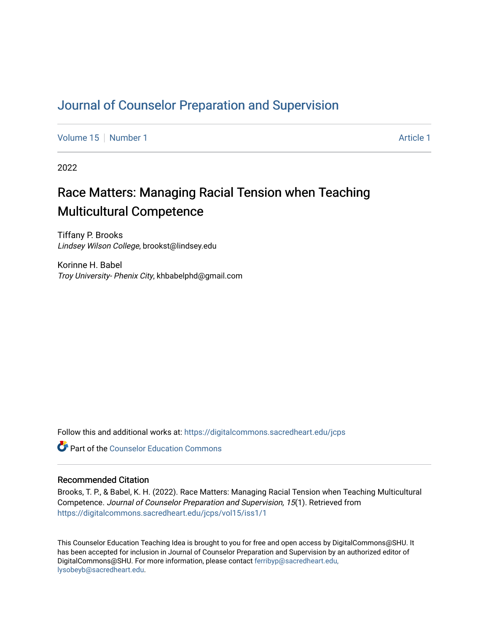# [Journal of Counselor Preparation and Supervision](https://digitalcommons.sacredheart.edu/jcps)

[Volume 15](https://digitalcommons.sacredheart.edu/jcps/vol15) [Number 1](https://digitalcommons.sacredheart.edu/jcps/vol15/iss1) [Article 1](https://digitalcommons.sacredheart.edu/jcps/vol15/iss1/1) Article 1 Article 1 Article 1 Article 1 Article 1 Article 1

2022

# Race Matters: Managing Racial Tension when Teaching Multicultural Competence

Tiffany P. Brooks Lindsey Wilson College, brookst@lindsey.edu

Korinne H. Babel Troy University- Phenix City, khbabelphd@gmail.com

Follow this and additional works at: [https://digitalcommons.sacredheart.edu/jcps](https://digitalcommons.sacredheart.edu/jcps?utm_source=digitalcommons.sacredheart.edu%2Fjcps%2Fvol15%2Fiss1%2F1&utm_medium=PDF&utm_campaign=PDFCoverPages) 

**C** Part of the Counselor Education Commons

# Recommended Citation

Brooks, T. P., & Babel, K. H. (2022). Race Matters: Managing Racial Tension when Teaching Multicultural Competence. Journal of Counselor Preparation and Supervision, 15(1). Retrieved from [https://digitalcommons.sacredheart.edu/jcps/vol15/iss1/1](https://digitalcommons.sacredheart.edu/jcps/vol15/iss1/1?utm_source=digitalcommons.sacredheart.edu%2Fjcps%2Fvol15%2Fiss1%2F1&utm_medium=PDF&utm_campaign=PDFCoverPages)

This Counselor Education Teaching Idea is brought to you for free and open access by DigitalCommons@SHU. It has been accepted for inclusion in Journal of Counselor Preparation and Supervision by an authorized editor of DigitalCommons@SHU. For more information, please contact [ferribyp@sacredheart.edu,](mailto:ferribyp@sacredheart.edu,%20lysobeyb@sacredheart.edu) [lysobeyb@sacredheart.edu](mailto:ferribyp@sacredheart.edu,%20lysobeyb@sacredheart.edu).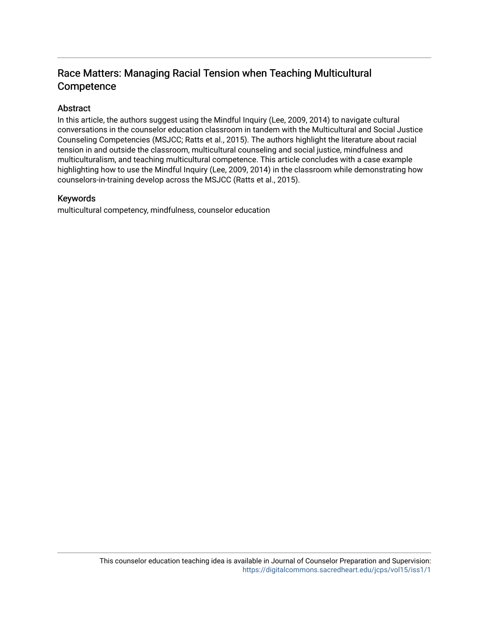# Race Matters: Managing Racial Tension when Teaching Multicultural **Competence**

# Abstract

In this article, the authors suggest using the Mindful Inquiry (Lee, 2009, 2014) to navigate cultural conversations in the counselor education classroom in tandem with the Multicultural and Social Justice Counseling Competencies (MSJCC; Ratts et al., 2015). The authors highlight the literature about racial tension in and outside the classroom, multicultural counseling and social justice, mindfulness and multiculturalism, and teaching multicultural competence. This article concludes with a case example highlighting how to use the Mindful Inquiry (Lee, 2009, 2014) in the classroom while demonstrating how counselors-in-training develop across the MSJCC (Ratts et al., 2015).

# Keywords

multicultural competency, mindfulness, counselor education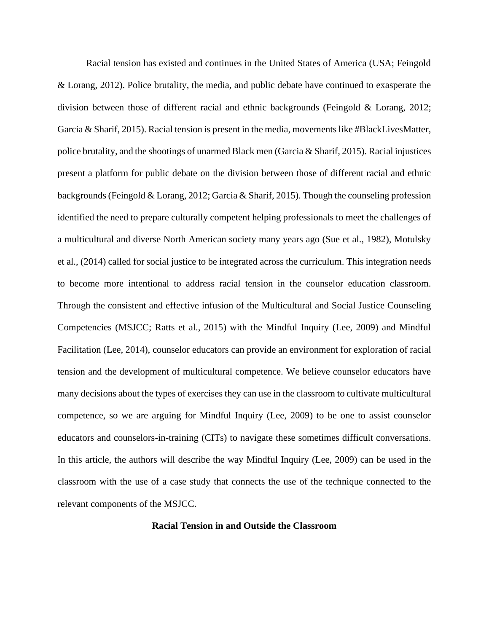Racial tension has existed and continues in the United States of America (USA; Feingold & Lorang, 2012). Police brutality, the media, and public debate have continued to exasperate the division between those of different racial and ethnic backgrounds (Feingold & Lorang, 2012; Garcia & Sharif, 2015). Racial tension is present in the media, movements like #BlackLivesMatter, police brutality, and the shootings of unarmed Black men (Garcia & Sharif, 2015). Racial injustices present a platform for public debate on the division between those of different racial and ethnic backgrounds (Feingold & Lorang, 2012; Garcia & Sharif, 2015). Though the counseling profession identified the need to prepare culturally competent helping professionals to meet the challenges of a multicultural and diverse North American society many years ago (Sue et al., 1982), Motulsky et al., (2014) called for social justice to be integrated across the curriculum. This integration needs to become more intentional to address racial tension in the counselor education classroom. Through the consistent and effective infusion of the Multicultural and Social Justice Counseling Competencies (MSJCC; Ratts et al., 2015) with the Mindful Inquiry (Lee, 2009) and Mindful Facilitation (Lee, 2014), counselor educators can provide an environment for exploration of racial tension and the development of multicultural competence. We believe counselor educators have many decisions about the types of exercises they can use in the classroom to cultivate multicultural competence, so we are arguing for Mindful Inquiry (Lee, 2009) to be one to assist counselor educators and counselors-in-training (CITs) to navigate these sometimes difficult conversations. In this article, the authors will describe the way Mindful Inquiry (Lee, 2009) can be used in the classroom with the use of a case study that connects the use of the technique connected to the relevant components of the MSJCC.

# **Racial Tension in and Outside the Classroom**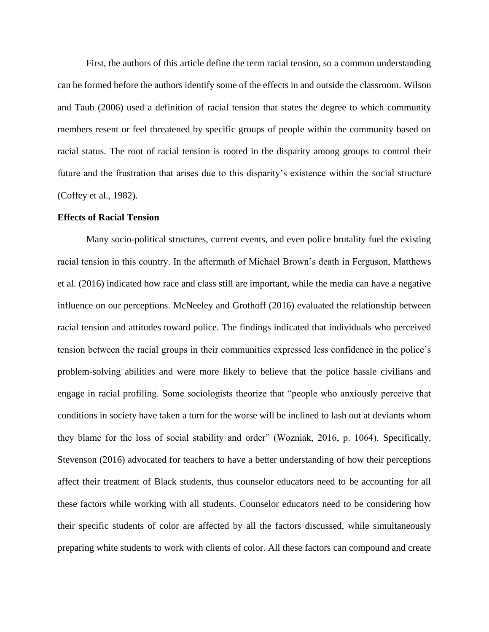First, the authors of this article define the term racial tension, so a common understanding can be formed before the authors identify some of the effects in and outside the classroom. Wilson and Taub (2006) used a definition of racial tension that states the degree to which community members resent or feel threatened by specific groups of people within the community based on racial status. The root of racial tension is rooted in the disparity among groups to control their future and the frustration that arises due to this disparity's existence within the social structure (Coffey et al., 1982).

#### **Effects of Racial Tension**

Many socio-political structures, current events, and even police brutality fuel the existing racial tension in this country. In the aftermath of Michael Brown's death in Ferguson, Matthews et al. (2016) indicated how race and class still are important, while the media can have a negative influence on our perceptions. McNeeley and Grothoff (2016) evaluated the relationship between racial tension and attitudes toward police. The findings indicated that individuals who perceived tension between the racial groups in their communities expressed less confidence in the police's problem-solving abilities and were more likely to believe that the police hassle civilians and engage in racial profiling. Some sociologists theorize that "people who anxiously perceive that conditions in society have taken a turn for the worse will be inclined to lash out at deviants whom they blame for the loss of social stability and order" (Wozniak, 2016, p. 1064). Specifically, Stevenson (2016) advocated for teachers to have a better understanding of how their perceptions affect their treatment of Black students, thus counselor educators need to be accounting for all these factors while working with all students. Counselor educators need to be considering how their specific students of color are affected by all the factors discussed, while simultaneously preparing white students to work with clients of color. All these factors can compound and create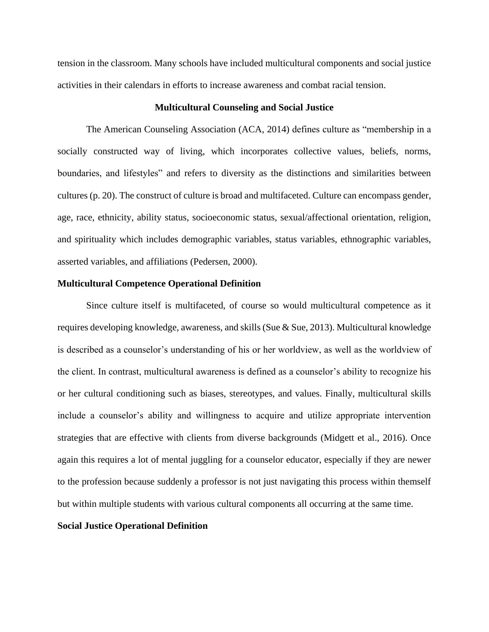tension in the classroom. Many schools have included multicultural components and social justice activities in their calendars in efforts to increase awareness and combat racial tension.

#### **Multicultural Counseling and Social Justice**

The American Counseling Association (ACA, 2014) defines culture as "membership in a socially constructed way of living, which incorporates collective values, beliefs, norms, boundaries, and lifestyles" and refers to diversity as the distinctions and similarities between cultures (p. 20). The construct of culture is broad and multifaceted. Culture can encompass gender, age, race, ethnicity, ability status, socioeconomic status, sexual/affectional orientation, religion, and spirituality which includes demographic variables, status variables, ethnographic variables, asserted variables, and affiliations (Pedersen, 2000).

#### **Multicultural Competence Operational Definition**

Since culture itself is multifaceted, of course so would multicultural competence as it requires developing knowledge, awareness, and skills (Sue & Sue, 2013). Multicultural knowledge is described as a counselor's understanding of his or her worldview, as well as the worldview of the client. In contrast, multicultural awareness is defined as a counselor's ability to recognize his or her cultural conditioning such as biases, stereotypes, and values. Finally, multicultural skills include a counselor's ability and willingness to acquire and utilize appropriate intervention strategies that are effective with clients from diverse backgrounds (Midgett et al., 2016). Once again this requires a lot of mental juggling for a counselor educator, especially if they are newer to the profession because suddenly a professor is not just navigating this process within themself but within multiple students with various cultural components all occurring at the same time.

#### **Social Justice Operational Definition**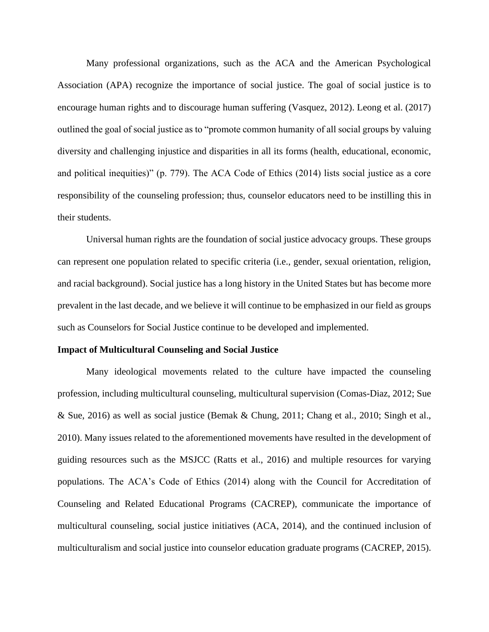Many professional organizations, such as the ACA and the American Psychological Association (APA) recognize the importance of social justice. The goal of social justice is to encourage human rights and to discourage human suffering (Vasquez, 2012). Leong et al. (2017) outlined the goal of social justice as to "promote common humanity of all social groups by valuing diversity and challenging injustice and disparities in all its forms (health, educational, economic, and political inequities)" (p. 779). The ACA Code of Ethics (2014) lists social justice as a core responsibility of the counseling profession; thus, counselor educators need to be instilling this in their students.

Universal human rights are the foundation of social justice advocacy groups. These groups can represent one population related to specific criteria (i.e., gender, sexual orientation, religion, and racial background). Social justice has a long history in the United States but has become more prevalent in the last decade, and we believe it will continue to be emphasized in our field as groups such as Counselors for Social Justice continue to be developed and implemented.

#### **Impact of Multicultural Counseling and Social Justice**

Many ideological movements related to the culture have impacted the counseling profession, including multicultural counseling, multicultural supervision (Comas-Diaz, 2012; Sue & Sue, 2016) as well as social justice (Bemak & Chung, 2011; Chang et al., 2010; Singh et al., 2010). Many issues related to the aforementioned movements have resulted in the development of guiding resources such as the MSJCC (Ratts et al., 2016) and multiple resources for varying populations. The ACA's Code of Ethics (2014) along with the Council for Accreditation of Counseling and Related Educational Programs (CACREP), communicate the importance of multicultural counseling, social justice initiatives (ACA, 2014), and the continued inclusion of multiculturalism and social justice into counselor education graduate programs (CACREP, 2015).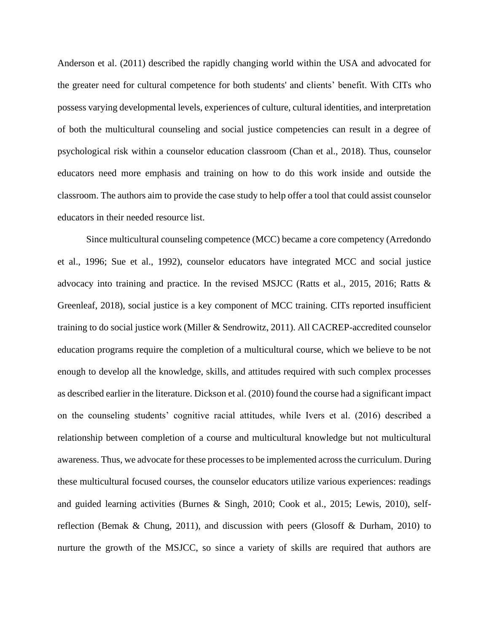Anderson et al. (2011) described the rapidly changing world within the USA and advocated for the greater need for cultural competence for both students' and clients' benefit. With CITs who possess varying developmental levels, experiences of culture, cultural identities, and interpretation of both the multicultural counseling and social justice competencies can result in a degree of psychological risk within a counselor education classroom (Chan et al., 2018). Thus, counselor educators need more emphasis and training on how to do this work inside and outside the classroom. The authors aim to provide the case study to help offer a tool that could assist counselor educators in their needed resource list.

Since multicultural counseling competence (MCC) became a core competency (Arredondo et al., 1996; Sue et al., 1992), counselor educators have integrated MCC and social justice advocacy into training and practice. In the revised MSJCC (Ratts et al., 2015, 2016; Ratts & Greenleaf, 2018), social justice is a key component of MCC training. CITs reported insufficient training to do social justice work (Miller & Sendrowitz, 2011). All CACREP-accredited counselor education programs require the completion of a multicultural course, which we believe to be not enough to develop all the knowledge, skills, and attitudes required with such complex processes as described earlier in the literature. Dickson et al. (2010) found the course had a significant impact on the counseling students' cognitive racial attitudes, while Ivers et al. (2016) described a relationship between completion of a course and multicultural knowledge but not multicultural awareness. Thus, we advocate for these processes to be implemented across the curriculum. During these multicultural focused courses, the counselor educators utilize various experiences: readings and guided learning activities (Burnes & Singh, 2010; Cook et al., 2015; Lewis, 2010), selfreflection (Bemak & Chung, 2011), and discussion with peers (Glosoff & Durham, 2010) to nurture the growth of the MSJCC, so since a variety of skills are required that authors are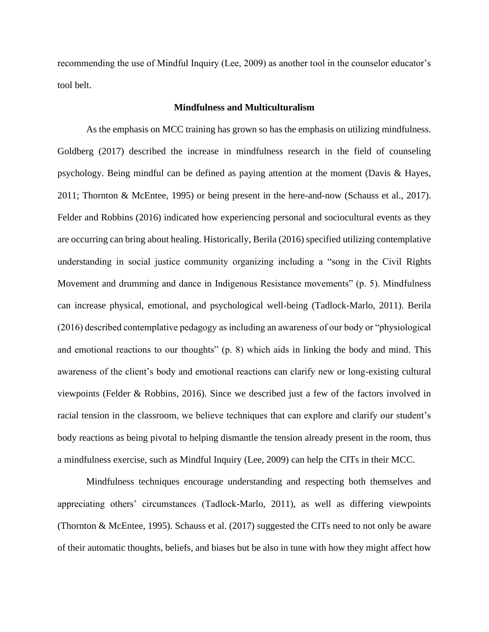recommending the use of Mindful Inquiry (Lee, 2009) as another tool in the counselor educator's tool belt.

#### **Mindfulness and Multiculturalism**

As the emphasis on MCC training has grown so has the emphasis on utilizing mindfulness. Goldberg (2017) described the increase in mindfulness research in the field of counseling psychology. Being mindful can be defined as paying attention at the moment (Davis & Hayes, 2011; Thornton & McEntee, 1995) or being present in the here-and-now (Schauss et al., 2017). Felder and Robbins (2016) indicated how experiencing personal and sociocultural events as they are occurring can bring about healing. Historically, Berila (2016) specified utilizing contemplative understanding in social justice community organizing including a "song in the Civil Rights Movement and drumming and dance in Indigenous Resistance movements" (p. 5). Mindfulness can increase physical, emotional, and psychological well-being (Tadlock-Marlo, 2011). Berila (2016) described contemplative pedagogy as including an awareness of our body or "physiological and emotional reactions to our thoughts" (p. 8) which aids in linking the body and mind. This awareness of the client's body and emotional reactions can clarify new or long-existing cultural viewpoints (Felder & Robbins, 2016). Since we described just a few of the factors involved in racial tension in the classroom, we believe techniques that can explore and clarify our student's body reactions as being pivotal to helping dismantle the tension already present in the room, thus a mindfulness exercise, such as Mindful Inquiry (Lee, 2009) can help the CITs in their MCC.

Mindfulness techniques encourage understanding and respecting both themselves and appreciating others' circumstances (Tadlock-Marlo, 2011), as well as differing viewpoints (Thornton & McEntee, 1995). Schauss et al. (2017) suggested the CITs need to not only be aware of their automatic thoughts, beliefs, and biases but be also in tune with how they might affect how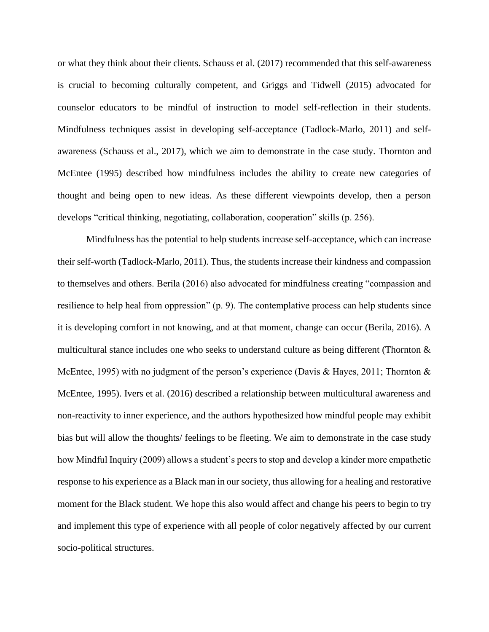or what they think about their clients. Schauss et al. (2017) recommended that this self-awareness is crucial to becoming culturally competent, and Griggs and Tidwell (2015) advocated for counselor educators to be mindful of instruction to model self-reflection in their students. Mindfulness techniques assist in developing self-acceptance (Tadlock-Marlo, 2011) and selfawareness (Schauss et al., 2017), which we aim to demonstrate in the case study. Thornton and McEntee (1995) described how mindfulness includes the ability to create new categories of thought and being open to new ideas. As these different viewpoints develop, then a person develops "critical thinking, negotiating, collaboration, cooperation" skills (p. 256).

Mindfulness has the potential to help students increase self-acceptance, which can increase their self-worth (Tadlock-Marlo, 2011). Thus, the students increase their kindness and compassion to themselves and others. Berila (2016) also advocated for mindfulness creating "compassion and resilience to help heal from oppression" (p. 9). The contemplative process can help students since it is developing comfort in not knowing, and at that moment, change can occur (Berila, 2016). A multicultural stance includes one who seeks to understand culture as being different (Thornton & McEntee, 1995) with no judgment of the person's experience (Davis & Hayes, 2011; Thornton & McEntee, 1995). Ivers et al. (2016) described a relationship between multicultural awareness and non-reactivity to inner experience, and the authors hypothesized how mindful people may exhibit bias but will allow the thoughts/ feelings to be fleeting. We aim to demonstrate in the case study how Mindful Inquiry (2009) allows a student's peers to stop and develop a kinder more empathetic response to his experience as a Black man in our society, thus allowing for a healing and restorative moment for the Black student. We hope this also would affect and change his peers to begin to try and implement this type of experience with all people of color negatively affected by our current socio-political structures.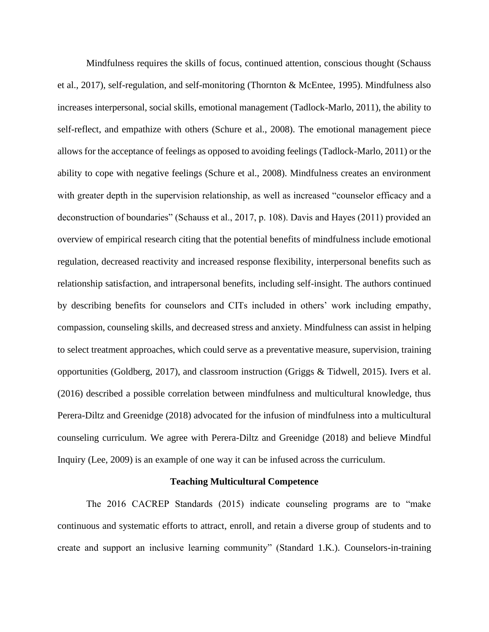Mindfulness requires the skills of focus, continued attention, conscious thought (Schauss et al., 2017), self-regulation, and self-monitoring (Thornton & McEntee, 1995). Mindfulness also increases interpersonal, social skills, emotional management (Tadlock-Marlo, 2011), the ability to self-reflect, and empathize with others (Schure et al., 2008). The emotional management piece allows for the acceptance of feelings as opposed to avoiding feelings (Tadlock-Marlo, 2011) or the ability to cope with negative feelings (Schure et al., 2008). Mindfulness creates an environment with greater depth in the supervision relationship, as well as increased "counselor efficacy and a deconstruction of boundaries" (Schauss et al., 2017, p. 108). Davis and Hayes (2011) provided an overview of empirical research citing that the potential benefits of mindfulness include emotional regulation, decreased reactivity and increased response flexibility, interpersonal benefits such as relationship satisfaction, and intrapersonal benefits, including self-insight. The authors continued by describing benefits for counselors and CITs included in others' work including empathy, compassion, counseling skills, and decreased stress and anxiety. Mindfulness can assist in helping to select treatment approaches, which could serve as a preventative measure, supervision, training opportunities (Goldberg, 2017), and classroom instruction (Griggs & Tidwell, 2015). Ivers et al. (2016) described a possible correlation between mindfulness and multicultural knowledge, thus Perera-Diltz and Greenidge (2018) advocated for the infusion of mindfulness into a multicultural counseling curriculum. We agree with Perera-Diltz and Greenidge (2018) and believe Mindful Inquiry (Lee, 2009) is an example of one way it can be infused across the curriculum.

#### **Teaching Multicultural Competence**

The 2016 CACREP Standards (2015) indicate counseling programs are to "make continuous and systematic efforts to attract, enroll, and retain a diverse group of students and to create and support an inclusive learning community" (Standard 1.K.). Counselors-in-training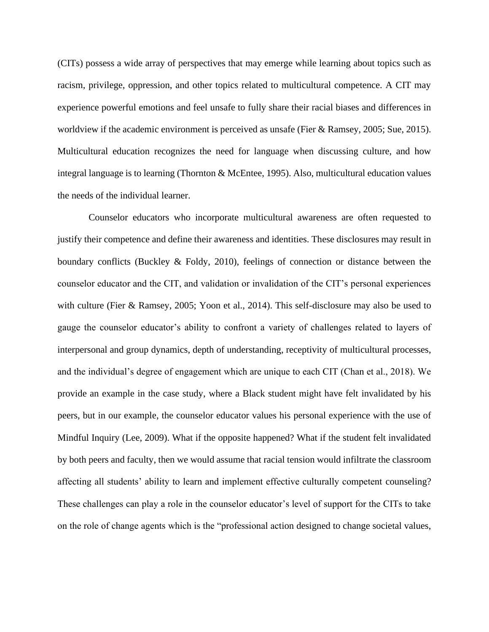(CITs) possess a wide array of perspectives that may emerge while learning about topics such as racism, privilege, oppression, and other topics related to multicultural competence. A CIT may experience powerful emotions and feel unsafe to fully share their racial biases and differences in worldview if the academic environment is perceived as unsafe (Fier & Ramsey, 2005; Sue, 2015). Multicultural education recognizes the need for language when discussing culture, and how integral language is to learning (Thornton & McEntee, 1995). Also, multicultural education values the needs of the individual learner.

Counselor educators who incorporate multicultural awareness are often requested to justify their competence and define their awareness and identities. These disclosures may result in boundary conflicts (Buckley & Foldy, 2010), feelings of connection or distance between the counselor educator and the CIT, and validation or invalidation of the CIT's personal experiences with culture (Fier & Ramsey, 2005; Yoon et al., 2014). This self-disclosure may also be used to gauge the counselor educator's ability to confront a variety of challenges related to layers of interpersonal and group dynamics, depth of understanding, receptivity of multicultural processes, and the individual's degree of engagement which are unique to each CIT (Chan et al., 2018). We provide an example in the case study, where a Black student might have felt invalidated by his peers, but in our example, the counselor educator values his personal experience with the use of Mindful Inquiry (Lee, 2009). What if the opposite happened? What if the student felt invalidated by both peers and faculty, then we would assume that racial tension would infiltrate the classroom affecting all students' ability to learn and implement effective culturally competent counseling? These challenges can play a role in the counselor educator's level of support for the CITs to take on the role of change agents which is the "professional action designed to change societal values,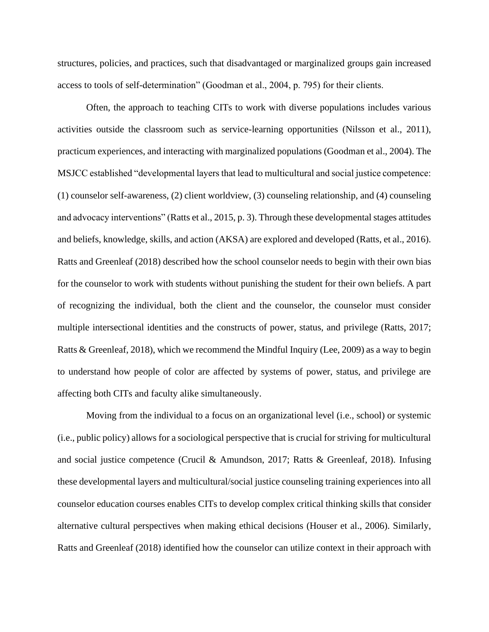structures, policies, and practices, such that disadvantaged or marginalized groups gain increased access to tools of self-determination" (Goodman et al., 2004, p. 795) for their clients.

Often, the approach to teaching CITs to work with diverse populations includes various activities outside the classroom such as service-learning opportunities (Nilsson et al., 2011), practicum experiences, and interacting with marginalized populations (Goodman et al., 2004). The MSJCC established "developmental layers that lead to multicultural and social justice competence: (1) counselor self-awareness, (2) client worldview, (3) counseling relationship, and (4) counseling and advocacy interventions" (Ratts et al., 2015, p. 3). Through these developmental stages attitudes and beliefs, knowledge, skills, and action (AKSA) are explored and developed (Ratts, et al., 2016). Ratts and Greenleaf (2018) described how the school counselor needs to begin with their own bias for the counselor to work with students without punishing the student for their own beliefs. A part of recognizing the individual, both the client and the counselor, the counselor must consider multiple intersectional identities and the constructs of power, status, and privilege (Ratts, 2017; Ratts & Greenleaf, 2018), which we recommend the Mindful Inquiry (Lee, 2009) as a way to begin to understand how people of color are affected by systems of power, status, and privilege are affecting both CITs and faculty alike simultaneously.

Moving from the individual to a focus on an organizational level (i.e., school) or systemic (i.e., public policy) allows for a sociological perspective that is crucial for striving for multicultural and social justice competence (Crucil & Amundson, 2017; Ratts & Greenleaf, 2018). Infusing these developmental layers and multicultural/social justice counseling training experiences into all counselor education courses enables CITs to develop complex critical thinking skills that consider alternative cultural perspectives when making ethical decisions (Houser et al., 2006). Similarly, Ratts and Greenleaf (2018) identified how the counselor can utilize context in their approach with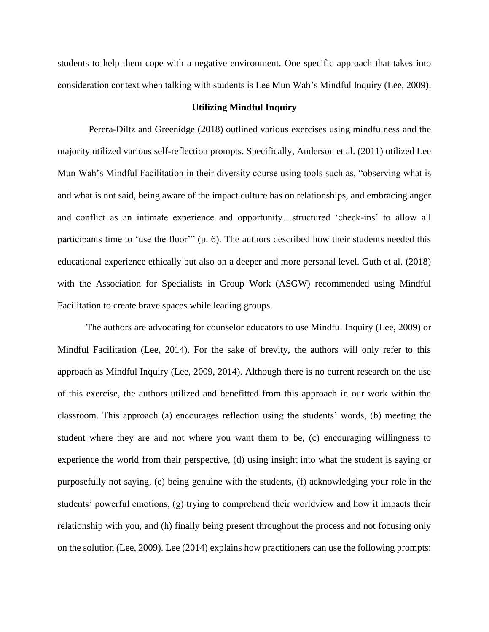students to help them cope with a negative environment. One specific approach that takes into consideration context when talking with students is Lee Mun Wah's Mindful Inquiry (Lee, 2009).

### **Utilizing Mindful Inquiry**

Perera-Diltz and Greenidge (2018) outlined various exercises using mindfulness and the majority utilized various self-reflection prompts. Specifically, Anderson et al. (2011) utilized Lee Mun Wah's Mindful Facilitation in their diversity course using tools such as, "observing what is and what is not said, being aware of the impact culture has on relationships, and embracing anger and conflict as an intimate experience and opportunity…structured 'check-ins' to allow all participants time to 'use the floor'" (p. 6). The authors described how their students needed this educational experience ethically but also on a deeper and more personal level. Guth et al. (2018) with the Association for Specialists in Group Work (ASGW) recommended using Mindful Facilitation to create brave spaces while leading groups.

The authors are advocating for counselor educators to use Mindful Inquiry (Lee, 2009) or Mindful Facilitation (Lee, 2014). For the sake of brevity, the authors will only refer to this approach as Mindful Inquiry (Lee, 2009, 2014). Although there is no current research on the use of this exercise, the authors utilized and benefitted from this approach in our work within the classroom. This approach (a) encourages reflection using the students' words, (b) meeting the student where they are and not where you want them to be, (c) encouraging willingness to experience the world from their perspective, (d) using insight into what the student is saying or purposefully not saying, (e) being genuine with the students, (f) acknowledging your role in the students' powerful emotions, (g) trying to comprehend their worldview and how it impacts their relationship with you, and (h) finally being present throughout the process and not focusing only on the solution (Lee, 2009). Lee (2014) explains how practitioners can use the following prompts: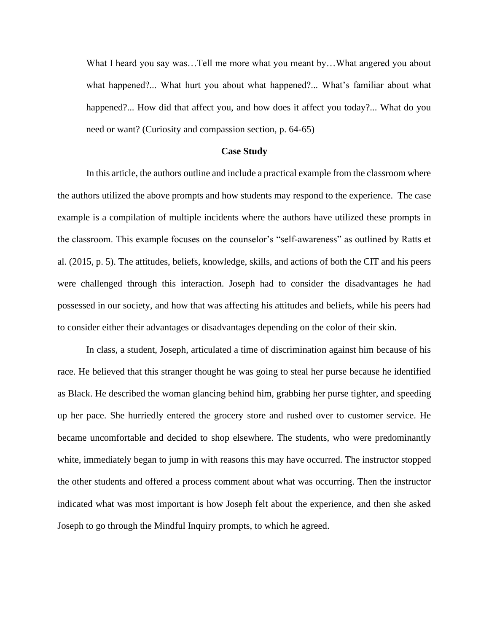What I heard you say was…Tell me more what you meant by…What angered you about what happened?... What hurt you about what happened?... What's familiar about what happened?... How did that affect you, and how does it affect you today?... What do you need or want? (Curiosity and compassion section, p. 64-65)

#### **Case Study**

In this article, the authors outline and include a practical example from the classroom where the authors utilized the above prompts and how students may respond to the experience. The case example is a compilation of multiple incidents where the authors have utilized these prompts in the classroom. This example focuses on the counselor's "self-awareness" as outlined by Ratts et al. (2015, p. 5). The attitudes, beliefs, knowledge, skills, and actions of both the CIT and his peers were challenged through this interaction. Joseph had to consider the disadvantages he had possessed in our society, and how that was affecting his attitudes and beliefs, while his peers had to consider either their advantages or disadvantages depending on the color of their skin.

In class, a student, Joseph, articulated a time of discrimination against him because of his race. He believed that this stranger thought he was going to steal her purse because he identified as Black. He described the woman glancing behind him, grabbing her purse tighter, and speeding up her pace. She hurriedly entered the grocery store and rushed over to customer service. He became uncomfortable and decided to shop elsewhere. The students, who were predominantly white, immediately began to jump in with reasons this may have occurred. The instructor stopped the other students and offered a process comment about what was occurring. Then the instructor indicated what was most important is how Joseph felt about the experience, and then she asked Joseph to go through the Mindful Inquiry prompts, to which he agreed.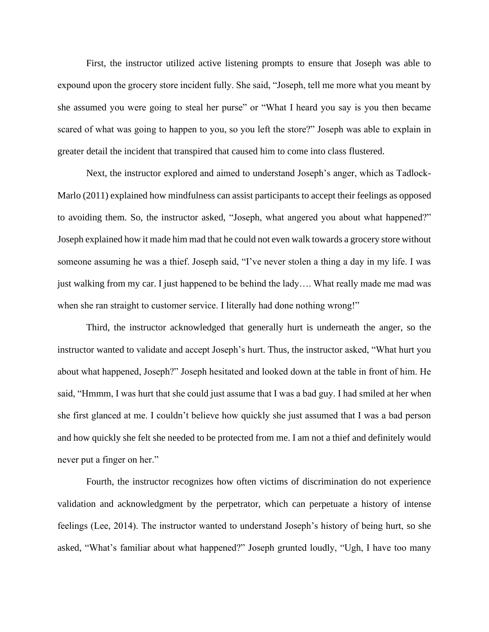First, the instructor utilized active listening prompts to ensure that Joseph was able to expound upon the grocery store incident fully. She said, "Joseph, tell me more what you meant by she assumed you were going to steal her purse" or "What I heard you say is you then became scared of what was going to happen to you, so you left the store?" Joseph was able to explain in greater detail the incident that transpired that caused him to come into class flustered.

Next, the instructor explored and aimed to understand Joseph's anger, which as Tadlock-Marlo (2011) explained how mindfulness can assist participants to accept their feelings as opposed to avoiding them. So, the instructor asked, "Joseph, what angered you about what happened?" Joseph explained how it made him mad that he could not even walk towards a grocery store without someone assuming he was a thief. Joseph said, "I've never stolen a thing a day in my life. I was just walking from my car. I just happened to be behind the lady…. What really made me mad was when she ran straight to customer service. I literally had done nothing wrong!"

Third, the instructor acknowledged that generally hurt is underneath the anger, so the instructor wanted to validate and accept Joseph's hurt. Thus, the instructor asked, "What hurt you about what happened, Joseph?" Joseph hesitated and looked down at the table in front of him. He said, "Hmmm, I was hurt that she could just assume that I was a bad guy. I had smiled at her when she first glanced at me. I couldn't believe how quickly she just assumed that I was a bad person and how quickly she felt she needed to be protected from me. I am not a thief and definitely would never put a finger on her."

Fourth, the instructor recognizes how often victims of discrimination do not experience validation and acknowledgment by the perpetrator, which can perpetuate a history of intense feelings (Lee, 2014). The instructor wanted to understand Joseph's history of being hurt, so she asked, "What's familiar about what happened?" Joseph grunted loudly, "Ugh, I have too many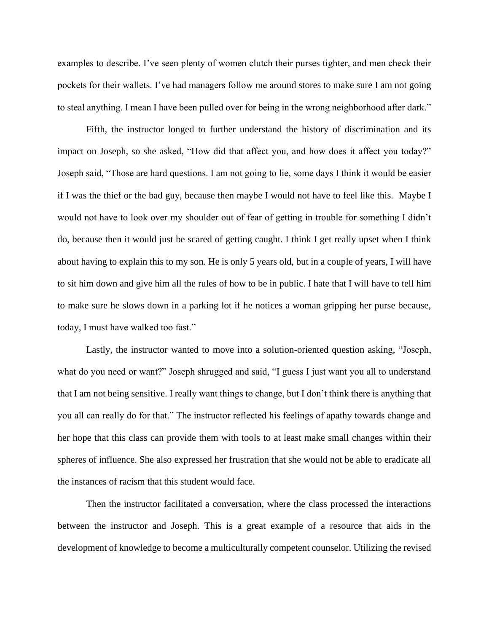examples to describe. I've seen plenty of women clutch their purses tighter, and men check their pockets for their wallets. I've had managers follow me around stores to make sure I am not going to steal anything. I mean I have been pulled over for being in the wrong neighborhood after dark."

Fifth, the instructor longed to further understand the history of discrimination and its impact on Joseph, so she asked, "How did that affect you, and how does it affect you today?" Joseph said, "Those are hard questions. I am not going to lie, some days I think it would be easier if I was the thief or the bad guy, because then maybe I would not have to feel like this. Maybe I would not have to look over my shoulder out of fear of getting in trouble for something I didn't do, because then it would just be scared of getting caught. I think I get really upset when I think about having to explain this to my son. He is only 5 years old, but in a couple of years, I will have to sit him down and give him all the rules of how to be in public. I hate that I will have to tell him to make sure he slows down in a parking lot if he notices a woman gripping her purse because, today, I must have walked too fast."

Lastly, the instructor wanted to move into a solution-oriented question asking, "Joseph, what do you need or want?" Joseph shrugged and said, "I guess I just want you all to understand that I am not being sensitive. I really want things to change, but I don't think there is anything that you all can really do for that." The instructor reflected his feelings of apathy towards change and her hope that this class can provide them with tools to at least make small changes within their spheres of influence. She also expressed her frustration that she would not be able to eradicate all the instances of racism that this student would face.

Then the instructor facilitated a conversation, where the class processed the interactions between the instructor and Joseph. This is a great example of a resource that aids in the development of knowledge to become a multiculturally competent counselor. Utilizing the revised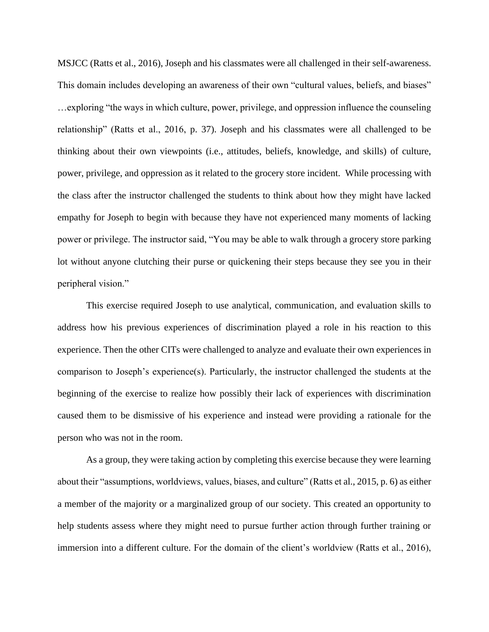MSJCC (Ratts et al., 2016), Joseph and his classmates were all challenged in their self-awareness. This domain includes developing an awareness of their own "cultural values, beliefs, and biases" …exploring "the ways in which culture, power, privilege, and oppression influence the counseling relationship" (Ratts et al., 2016, p. 37). Joseph and his classmates were all challenged to be thinking about their own viewpoints (i.e., attitudes, beliefs, knowledge, and skills) of culture, power, privilege, and oppression as it related to the grocery store incident. While processing with the class after the instructor challenged the students to think about how they might have lacked empathy for Joseph to begin with because they have not experienced many moments of lacking power or privilege. The instructor said, "You may be able to walk through a grocery store parking lot without anyone clutching their purse or quickening their steps because they see you in their peripheral vision."

This exercise required Joseph to use analytical, communication, and evaluation skills to address how his previous experiences of discrimination played a role in his reaction to this experience. Then the other CITs were challenged to analyze and evaluate their own experiences in comparison to Joseph's experience(s). Particularly, the instructor challenged the students at the beginning of the exercise to realize how possibly their lack of experiences with discrimination caused them to be dismissive of his experience and instead were providing a rationale for the person who was not in the room.

As a group, they were taking action by completing this exercise because they were learning about their "assumptions, worldviews, values, biases, and culture" (Ratts et al., 2015, p. 6) as either a member of the majority or a marginalized group of our society. This created an opportunity to help students assess where they might need to pursue further action through further training or immersion into a different culture. For the domain of the client's worldview (Ratts et al., 2016),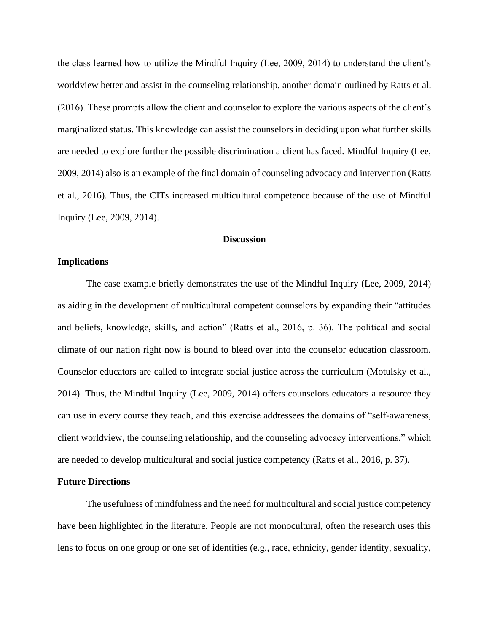the class learned how to utilize the Mindful Inquiry (Lee, 2009, 2014) to understand the client's worldview better and assist in the counseling relationship, another domain outlined by Ratts et al. (2016). These prompts allow the client and counselor to explore the various aspects of the client's marginalized status. This knowledge can assist the counselors in deciding upon what further skills are needed to explore further the possible discrimination a client has faced. Mindful Inquiry (Lee, 2009, 2014) also is an example of the final domain of counseling advocacy and intervention (Ratts et al., 2016). Thus, the CITs increased multicultural competence because of the use of Mindful Inquiry (Lee, 2009, 2014).

# **Discussion**

## **Implications**

The case example briefly demonstrates the use of the Mindful Inquiry (Lee, 2009, 2014) as aiding in the development of multicultural competent counselors by expanding their "attitudes and beliefs, knowledge, skills, and action" (Ratts et al., 2016, p. 36). The political and social climate of our nation right now is bound to bleed over into the counselor education classroom. Counselor educators are called to integrate social justice across the curriculum (Motulsky et al., 2014). Thus, the Mindful Inquiry (Lee, 2009, 2014) offers counselors educators a resource they can use in every course they teach, and this exercise addressees the domains of "self-awareness, client worldview, the counseling relationship, and the counseling advocacy interventions," which are needed to develop multicultural and social justice competency (Ratts et al., 2016, p. 37).

#### **Future Directions**

The usefulness of mindfulness and the need for multicultural and social justice competency have been highlighted in the literature. People are not monocultural, often the research uses this lens to focus on one group or one set of identities (e.g., race, ethnicity, gender identity, sexuality,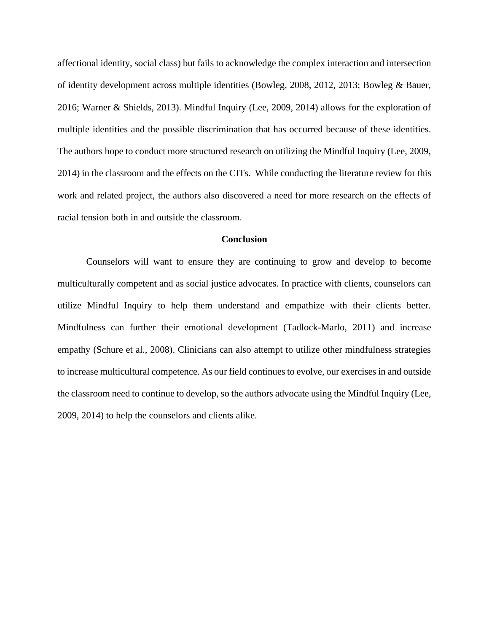affectional identity, social class) but fails to acknowledge the complex interaction and intersection of identity development across multiple identities (Bowleg, 2008, 2012, 2013; Bowleg & Bauer, 2016; Warner & Shields, 2013). Mindful Inquiry (Lee, 2009, 2014) allows for the exploration of multiple identities and the possible discrimination that has occurred because of these identities. The authors hope to conduct more structured research on utilizing the Mindful Inquiry (Lee, 2009, 2014) in the classroom and the effects on the CITs. While conducting the literature review for this work and related project, the authors also discovered a need for more research on the effects of racial tension both in and outside the classroom.

#### **Conclusion**

Counselors will want to ensure they are continuing to grow and develop to become multiculturally competent and as social justice advocates. In practice with clients, counselors can utilize Mindful Inquiry to help them understand and empathize with their clients better. Mindfulness can further their emotional development (Tadlock-Marlo, 2011) and increase empathy (Schure et al., 2008). Clinicians can also attempt to utilize other mindfulness strategies to increase multicultural competence. As our field continues to evolve, our exercises in and outside the classroom need to continue to develop, so the authors advocate using the Mindful Inquiry (Lee, 2009, 2014) to help the counselors and clients alike.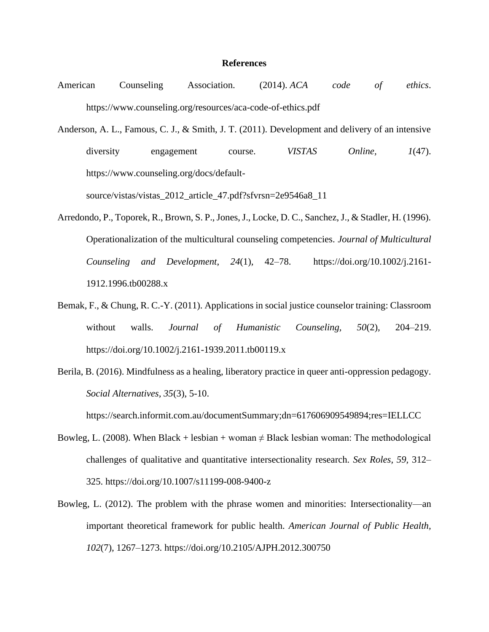#### **References**

- American Counseling Association. (2014). *ACA code of ethics*. https://www.counseling.org/resources/aca-code-of-ethics.pdf
- Anderson, A. L., Famous, C. J., & Smith, J. T. (2011). Development and delivery of an intensive diversity engagement course. *VISTAS Online, 1*(47). https://www.counseling.org/docs/default-

source/vistas/vistas\_2012\_article\_47.pdf?sfvrsn=2e9546a8\_11

- Arredondo, P., Toporek, R., Brown, S. P., Jones, J., Locke, D. C., Sanchez, J., & Stadler, H. (1996). Operationalization of the multicultural counseling competencies. *Journal of Multicultural Counseling and Development*, *24*(1)*,* 42–78. [https://doi.org/10.1002/j.2161-](https://doi.org/10.1002/j.2161-1912.1996.tb00288.x) [1912.1996.tb00288.x](https://doi.org/10.1002/j.2161-1912.1996.tb00288.x)
- Bemak, F., & Chung, R. C.-Y. (2011). Applications in social justice counselor training: Classroom without walls. *Journal of Humanistic Counseling, 50*(2)*,* 204–219. https://doi.org/10.1002/j.2161-1939.2011.tb00119.x
- Berila, B. (2016). Mindfulness as a healing, liberatory practice in queer anti-oppression pedagogy. *Social Alternatives, 35*(3), 5-10.

https://search.informit.com.au/documentSummary;dn=617606909549894;res=IELLCC

- Bowleg, L. (2008). When Black + lesbian + woman  $\neq$  Black lesbian woman: The methodological challenges of qualitative and quantitative intersectionality research. *Sex Roles, 59,* 312– 325. https://doi.org/10.1007/s11199-008-9400-z
- Bowleg, L. (2012). The problem with the phrase women and minorities: Intersectionality—an important theoretical framework for public health. *American Journal of Public Health, 102*(7)*,* 1267–1273. https://doi.org/10.2105/AJPH.2012.300750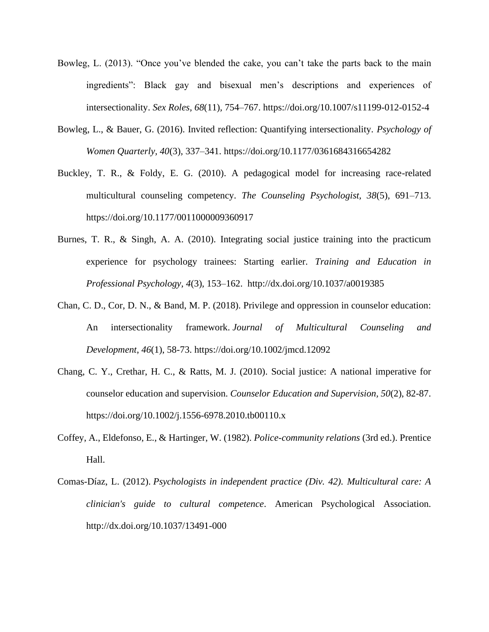- Bowleg, L. (2013). "Once you've blended the cake, you can't take the parts back to the main ingredients": Black gay and bisexual men's descriptions and experiences of intersectionality. *Sex Roles, 68*(11)*,* 754–767. https://doi.org/10.1007/s11199-012-0152-4
- Bowleg, L., & Bauer, G. (2016). Invited reflection: Quantifying intersectionality. *Psychology of Women Quarterly, 40*(3)*,* 337–341. https://doi.org/10.1177/0361684316654282
- Buckley, T. R., & Foldy, E. G. (2010). A pedagogical model for increasing race-related multicultural counseling competency. *The Counseling Psychologist, 38*(5)*,* 691–713. https://doi.org/10.1177/0011000009360917
- Burnes, T. R., & Singh, A. A. (2010). Integrating social justice training into the practicum experience for psychology trainees: Starting earlier. *Training and Education in Professional Psychology, 4*(3)*,* 153–162. http://dx.doi.org/10.1037/a0019385
- Chan, C. D., Cor, D. N., & Band, M. P. (2018). Privilege and oppression in counselor education: An intersectionality framework. *Journal of Multicultural Counseling and Development*, *46*(1), 58-73. https://doi.org/10.1002/jmcd.12092
- Chang, C. Y., Crethar, H. C., & Ratts, M. J. (2010). Social justice: A national imperative for counselor education and supervision. *Counselor Education and Supervision, 50*(2), 82-87. https://doi.org/10.1002/j.1556-6978.2010.tb00110.x
- Coffey, A., Eldefonso, E., & Hartinger, W. (1982). *Police-community relations* (3rd ed.). Prentice Hall.
- Comas-Díaz, L. (2012). *Psychologists in independent practice (Div. 42). Multicultural care: A clinician's guide to cultural competence*. American Psychological Association. <http://dx.doi.org/10.1037/13491-000>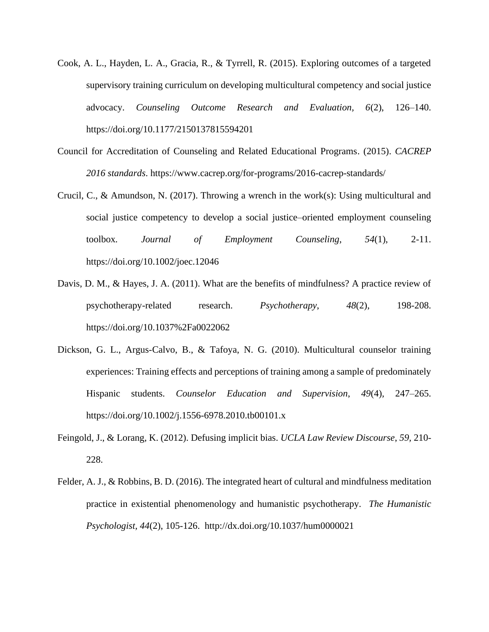- Cook, A. L., Hayden, L. A., Gracia, R., & Tyrrell, R. (2015). Exploring outcomes of a targeted supervisory training curriculum on developing multicultural competency and social justice advocacy. *Counseling Outcome Research and Evaluation, 6*(2), 126–140. https://doi.org/10.1177/2150137815594201
- Council for Accreditation of Counseling and Related Educational Programs. (2015). *CACREP 2016 standards*. https://www.cacrep.org/for-programs/2016-cacrep-standards/
- Crucil, C., & Amundson, N. (2017). Throwing a wrench in the work(s): Using multicultural and social justice competency to develop a social justice–oriented employment counseling toolbox*. Journal of Employment Counseling*, *54*(1), 2-11. https://doi.org/10.1002/joec.12046
- Davis, D. M., & Hayes, J. A. (2011). What are the benefits of mindfulness? A practice review of psychotherapy-related research. *Psychotherapy*, *48*(2), 198-208. https://doi.org/10.1037%2Fa0022062
- Dickson, G. L., Argus-Calvo, B., & Tafoya, N. G. (2010). Multicultural counselor training experiences: Training effects and perceptions of training among a sample of predominately Hispanic students. *Counselor Education and Supervision*, *49*(4)*,* 247–265. https://doi.org/10.1002/j.1556-6978.2010.tb00101.x
- Feingold, J., & Lorang, K. (2012). Defusing implicit bias. *UCLA Law Review Discourse*, *59,* 210- 228.
- Felder, A. J., & Robbins, B. D. (2016). The integrated heart of cultural and mindfulness meditation practice in existential phenomenology and humanistic psychotherapy. *The Humanistic Psychologist, 44*(2), 105-126. <http://dx.doi.org/10.1037/hum0000021>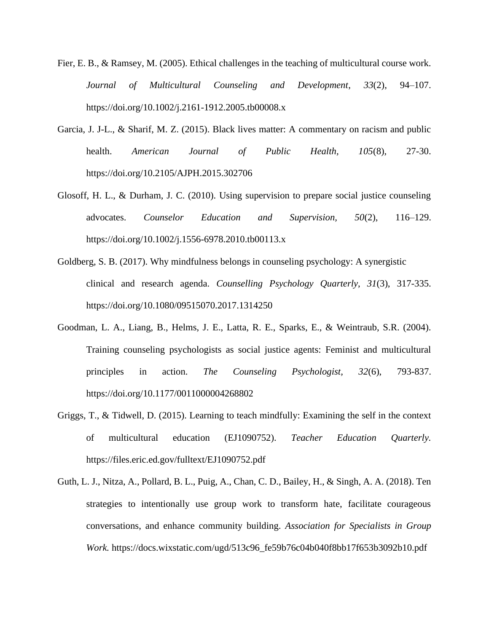- Fier, E. B., & Ramsey, M. (2005). Ethical challenges in the teaching of multicultural course work. *Journal of Multicultural Counseling and Development*, *33*(2), 94–107. https://doi.org/10.1002/j.2161-1912.2005.tb00008.x
- Garcia, J. J-L., & Sharif, M. Z. (2015). Black lives matter: A commentary on racism and public health. *American Journal of Public Health, 105*(8), 27-30. https://doi.org/10.2105/AJPH.2015.302706
- Glosoff, H. L., & Durham, J. C. (2010). Using supervision to prepare social justice counseling advocates. *Counselor Education and Supervision, 50*(2), 116–129. https://doi.org/10.1002/j.1556-6978.2010.tb00113.x
- Goldberg, S. B. (2017). Why mindfulness belongs in counseling psychology: A synergistic clinical and research agenda. *Counselling Psychology Quarterly*, *31*(3), 317-335. <https://doi.org/10.1080/09515070.2017.1314250>
- Goodman, L. A., Liang, B., Helms, J. E., Latta, R. E., Sparks, E., & Weintraub, S.R. (2004). Training counseling psychologists as social justice agents: Feminist and multicultural principles in action. *The Counseling Psychologist, 32*(6), 793-837. <https://doi.org/10.1177/0011000004268802>
- Griggs, T., & Tidwell, D. (2015). Learning to teach mindfully: Examining the self in the context of multicultural education (EJ1090752). *Teacher Education Quarterly.* https://files.eric.ed.gov/fulltext/EJ1090752.pdf
- Guth, L. J., Nitza, A., Pollard, B. L., Puig, A., Chan, C. D., Bailey, H., & Singh, A. A. (2018). Ten strategies to intentionally use group work to transform hate, facilitate courageous conversations, and enhance community building. *Association for Specialists in Group Work.* https://docs.wixstatic.com/ugd/513c96\_fe59b76c04b040f8bb17f653b3092b10.pdf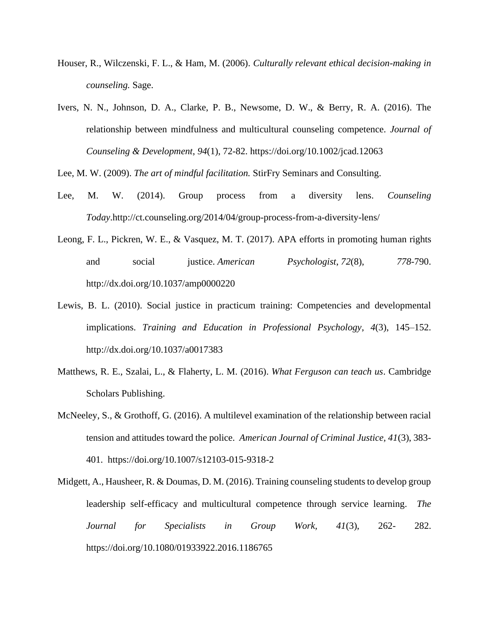- Houser, R., Wilczenski, F. L., & Ham, M. (2006). *Culturally relevant ethical decision-making in counseling.* Sage.
- Ivers, N. N., Johnson, D. A., Clarke, P. B., Newsome, D. W., & Berry, R. A. (2016). The relationship between mindfulness and multicultural counseling competence. *Journal of Counseling & Development*, *94*(1), 72-82. https://doi.org/10.1002/jcad.12063

Lee, M. W. (2009). *The art of mindful facilitation.* StirFry Seminars and Consulting.

- Lee, M. W. (2014). Group process from a diversity lens. *Counseling Today*.http://ct.counseling.org/2014/04/group-process-from-a-diversity-lens/
- Leong, F. L., Pickren, W. E., & Vasquez, M. T. (2017). APA efforts in promoting human rights and social justice. *American Psychologist*, *72*(8), *778*-790. http://dx.doi.org/10.1037/amp0000220
- Lewis, B. L. (2010). Social justice in practicum training: Competencies and developmental implications. *Training and Education in Professional Psychology*, *4*(3), 145–152. http://dx.doi.org/10.1037/a0017383
- Matthews, R. E., Szalai, L., & Flaherty, L. M. (2016). *What Ferguson can teach us*. Cambridge Scholars Publishing.
- McNeeley, S., & Grothoff, G. (2016). A multilevel examination of the relationship between racial tension and attitudes toward the police. *American Journal of Criminal Justice, 41*(3), 383- 401. <https://doi.org/10.1007/s12103-015-9318-2>
- Midgett, A., Hausheer, R. & Doumas, D. M. (2016). Training counseling students to develop group leadership self-efficacy and multicultural competence through service learning. *The Journal for Specialists in Group Work, 41*(3), 262- 282. https://doi.org/10.1080/01933922.2016.1186765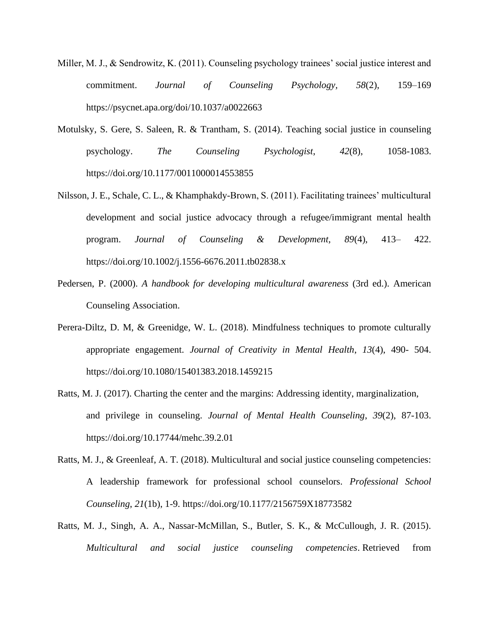- Miller, M. J., & Sendrowitz, K. (2011). Counseling psychology trainees' social justice interest and commitment. *Journal of Counseling Psychology, 58*(2), 159–169 https://psycnet.apa.org/doi/10.1037/a0022663
- Motulsky, S. Gere, S. Saleen, R. & Trantham, S. (2014). Teaching social justice in counseling psychology. *The Counseling Psychologist*, *42*(8), 1058-1083. https://doi.org/10.1177/0011000014553855
- Nilsson, J. E., Schale, C. L., & Khamphakdy-Brown, S. (2011). Facilitating trainees' multicultural development and social justice advocacy through a refugee/immigrant mental health program. *Journal of Counseling & Development, 89*(4), 413– 422. https://doi.org/10.1002/j.1556-6676.2011.tb02838.x
- Pedersen, P. (2000). *A handbook for developing multicultural awareness* (3rd ed.). American Counseling Association.
- Perera-Diltz, D. M, & Greenidge, W. L. (2018). Mindfulness techniques to promote culturally appropriate engagement. *Journal of Creativity in Mental Health*, *13*(4), 490- 504. https://doi.org/10.1080/15401383.2018.1459215
- Ratts, M. J. (2017). Charting the center and the margins: Addressing identity, marginalization, and privilege in counseling. *Journal of Mental Health Counseling*, *39*(2), 87-103. <https://doi.org/10.17744/mehc.39.2.01>
- Ratts, M. J., & Greenleaf, A. T. (2018). Multicultural and social justice counseling competencies: A leadership framework for professional school counselors. *Professional School Counseling*, *21*(1b), 1-9. https://doi.org[/10.1177/2156759X18773582](https://www.researchgate.net/deref/http%3A%2F%2Fdx.doi.org%2F10.1177%2F2156759X18773582)
- Ratts, M. J., Singh, A. A., Nassar-McMillan, S., Butler, S. K., & McCullough, J. R. (2015). *Multicultural and social justice counseling competencies*. Retrieved from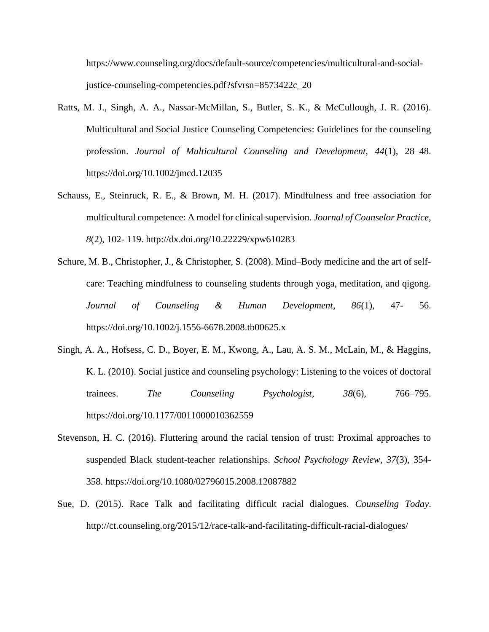https://www.counseling.org/docs/default-source/competencies/multicultural-and-socialjustice-counseling-competencies.pdf?sfvrsn=8573422c\_20

- Ratts, M. J., Singh, A. A., Nassar-McMillan, S., Butler, S. K., & McCullough, J. R. (2016). Multicultural and Social Justice Counseling Competencies: Guidelines for the counseling profession. *Journal of Multicultural Counseling and Development, 44*(1), 28–48. https://doi.org/10.1002/jmcd.12035
- Schauss, E., Steinruck, R. E., & Brown, M. H. (2017). Mindfulness and free association for multicultural competence: A model for clinical supervision. *Journal of Counselor Practice*, *8*(2), 102- 119. http://dx.doi.org/10.22229/xpw610283
- Schure, M. B., Christopher, J., & Christopher, S. (2008). Mind–Body medicine and the art of selfcare: Teaching mindfulness to counseling students through yoga, meditation, and qigong. *Journal of Counseling & Human Development*, *86*(1), 47- 56. <https://doi.org/10.1002/j.1556-6678.2008.tb00625.x>
- Singh, A. A., Hofsess, C. D., Boyer, E. M., Kwong, A., Lau, A. S. M., McLain, M., & Haggins, K. L. (2010). Social justice and counseling psychology: Listening to the voices of doctoral trainees. *The Counseling Psychologist*, *38*(6), 766–795. [https://doi.org/1](https://doi.org/10.1002/j.1556-6678.2008.tb00625.x)0.1177/0011000010362559
- Stevenson, H. C. (2016). Fluttering around the racial tension of trust: Proximal approaches to suspended Black student-teacher relationships. *School Psychology Review*, *37*(3), 354- 358. https://doi.org/10.1080/02796015.2008.12087882
- Sue, D. (2015). Race Talk and facilitating difficult racial dialogues. *Counseling Today*. http://ct.counseling.org/2015/12/race-talk-and-facilitating-difficult-racial-dialogues/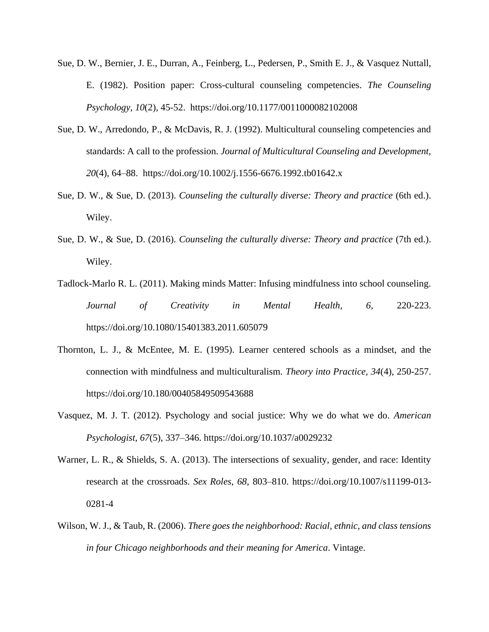- Sue, D. W., Bernier, J. E., Durran, A., Feinberg, L., Pedersen, P., Smith E. J., & Vasquez Nuttall, E. (1982). Position paper: Cross-cultural counseling competencies. *The Counseling Psychology, 10*(2), 45-52. https://doi.org/10.1177/0011000082102008
- Sue, D. W., Arredondo, P., & McDavis, R. J. (1992). Multicultural counseling competencies and standards: A call to the profession. *Journal of Multicultural Counseling and Development, 20*(4), 64–88. https://doi.org/10.1002/j.1556-6676.1992.tb01642.x
- Sue, D. W., & Sue, D. (2013). *Counseling the culturally diverse: Theory and practice* (6th ed.). Wiley.
- Sue, D. W., & Sue, D. (2016). *Counseling the culturally diverse: Theory and practice* (7th ed.). Wiley.
- Tadlock-Marlo R. L. (2011). Making minds Matter: Infusing mindfulness into school counseling. *Journal of Creativity in Mental Health, 6,* 220-223. https://doi.org/10.1080/15401383.2011.605079
- Thornton, L. J., & McEntee, M. E. (1995). Learner centered schools as a mindset, and the connection with mindfulness and multiculturalism. *Theory into Practice, 34*(4), 250-257. https://doi.org/10.180/00405849509543688
- Vasquez, M. J. T. (2012). Psychology and social justice: Why we do what we do. *American Psychologist*, *67*(5)*,* 337–346. https://doi.org[/10.1037/a0029232](https://www.researchgate.net/deref/http%3A%2F%2Fdx.doi.org%2F10.1037%2Fa0029232)
- Warner, L. R., & Shields, S. A. (2013). The intersections of sexuality, gender, and race: Identity research at the crossroads. *Sex Roles, 68*, 803–810. https://doi.org/10.1007/s11199-013- 0281-4
- Wilson, W. J., & Taub, R. (2006). *There goes the neighborhood: Racial, ethnic, and class tensions in four Chicago neighborhoods and their meaning for America*. Vintage.